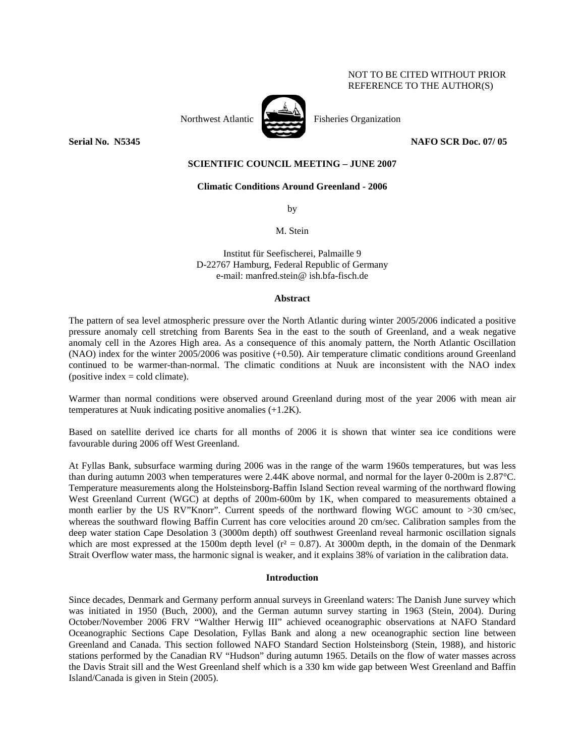## NOT TO BE CITED WITHOUT PRIOR REFERENCE TO THE AUTHOR(S)



**Serial No. 35345** NAFO SCR Doc. 07/ 05

# **SCIENTIFIC COUNCIL MEETING – JUNE 2007**

### **Climatic Conditions Around Greenland - 2006**

by

M. Stein

Institut für Seefischerei, Palmaille 9 D-22767 Hamburg, Federal Republic of Germany e-mail: manfred.stein@ ish.bfa-fisch.de

### **Abstract**

The pattern of sea level atmospheric pressure over the North Atlantic during winter 2005/2006 indicated a positive pressure anomaly cell stretching from Barents Sea in the east to the south of Greenland, and a weak negative anomaly cell in the Azores High area. As a consequence of this anomaly pattern, the North Atlantic Oscillation (NAO) index for the winter 2005/2006 was positive (+0.50). Air temperature climatic conditions around Greenland continued to be warmer-than-normal. The climatic conditions at Nuuk are inconsistent with the NAO index  $(positive\ index = cold\ climate).$ 

Warmer than normal conditions were observed around Greenland during most of the year 2006 with mean air temperatures at Nuuk indicating positive anomalies (+1.2K).

Based on satellite derived ice charts for all months of 2006 it is shown that winter sea ice conditions were favourable during 2006 off West Greenland.

At Fyllas Bank, subsurface warming during 2006 was in the range of the warm 1960s temperatures, but was less than during autumn 2003 when temperatures were 2.44K above normal, and normal for the layer 0-200m is 2.87°C. Temperature measurements along the Holsteinsborg-Baffin Island Section reveal warming of the northward flowing West Greenland Current (WGC) at depths of 200m-600m by 1K, when compared to measurements obtained a month earlier by the US RV"Knorr". Current speeds of the northward flowing WGC amount to >30 cm/sec, whereas the southward flowing Baffin Current has core velocities around 20 cm/sec. Calibration samples from the deep water station Cape Desolation 3 (3000m depth) off southwest Greenland reveal harmonic oscillation signals which are most expressed at the 1500m depth level ( $r^2 = 0.87$ ). At 3000m depth, in the domain of the Denmark Strait Overflow water mass, the harmonic signal is weaker, and it explains 38% of variation in the calibration data.

### **Introduction**

Since decades, Denmark and Germany perform annual surveys in Greenland waters: The Danish June survey which was initiated in 1950 (Buch, 2000), and the German autumn survey starting in 1963 (Stein, 2004). During October/November 2006 FRV "Walther Herwig III" achieved oceanographic observations at NAFO Standard Oceanographic Sections Cape Desolation, Fyllas Bank and along a new oceanographic section line between Greenland and Canada. This section followed NAFO Standard Section Holsteinsborg (Stein, 1988), and historic stations performed by the Canadian RV "Hudson" during autumn 1965. Details on the flow of water masses across the Davis Strait sill and the West Greenland shelf which is a 330 km wide gap between West Greenland and Baffin Island/Canada is given in Stein (2005).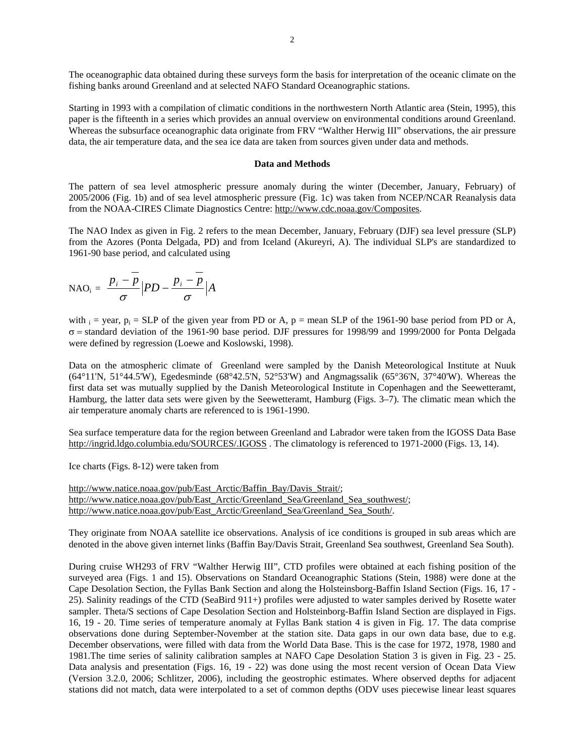The oceanographic data obtained during these surveys form the basis for interpretation of the oceanic climate on the fishing banks around Greenland and at selected NAFO Standard Oceanographic stations.

Starting in 1993 with a compilation of climatic conditions in the northwestern North Atlantic area (Stein, 1995), this paper is the fifteenth in a series which provides an annual overview on environmental conditions around Greenland. Whereas the subsurface oceanographic data originate from FRV "Walther Herwig III" observations, the air pressure data, the air temperature data, and the sea ice data are taken from sources given under data and methods.

### **Data and Methods**

The pattern of sea level atmospheric pressure anomaly during the winter (December, January, February) of 2005/2006 (Fig. 1b) and of sea level atmospheric pressure (Fig. 1c) was taken from NCEP/NCAR Reanalysis data from the NOAA-CIRES Climate Diagnostics Centre: http://www.cdc.noaa.gov/Composites.

The NAO Index as given in Fig. 2 refers to the mean December, January, February (DJF) sea level pressure (SLP) from the Azores (Ponta Delgada, PD) and from Iceland (Akureyri, A). The individual SLP's are standardized to 1961-90 base period, and calculated using

$$
\text{NAO}_{i} = \frac{p_{i} - \overline{p}}{\sigma} \Big| PD - \frac{p_{i} - \overline{p}}{\sigma} \Big| A
$$

with  $i =$  year,  $p_i =$  SLP of the given year from PD or A,  $p =$  mean SLP of the 1961-90 base period from PD or A, σ = standard deviation of the 1961-90 base period. DJF pressures for 1998/99 and 1999/2000 for Ponta Delgada were defined by regression (Loewe and Koslowski, 1998).

Data on the atmospheric climate of Greenland were sampled by the Danish Meteorological Institute at Nuuk (64°11'N, 51°44.5'W), Egedesminde (68°42.5'N, 52°53'W) and Angmagssalik (65°36'N, 37°40'W). Whereas the first data set was mutually supplied by the Danish Meteorological Institute in Copenhagen and the Seewetteramt, Hamburg, the latter data sets were given by the Seewetteramt, Hamburg (Figs. 3–7). The climatic mean which the air temperature anomaly charts are referenced to is 1961-1990.

Sea surface temperature data for the region between Greenland and Labrador were taken from the IGOSS Data Base http://ingrid.ldgo.columbia.edu/SOURCES/.IGOSS. The climatology is referenced to 1971-2000 (Figs. 13, 14).

Ice charts (Figs. 8-12) were taken from

http://www.natice.noaa.gov/pub/East\_Arctic/Baffin\_Bay/Davis\_Strait/; http://www.natice.noaa.gov/pub/East\_Arctic/Greenland\_Sea/Greenland\_Sea\_southwest/; http://www.natice.noaa.gov/pub/East Arctic/Greenland Sea/Greenland Sea South/.

They originate from NOAA satellite ice observations. Analysis of ice conditions is grouped in sub areas which are denoted in the above given internet links (Baffin Bay/Davis Strait, Greenland Sea southwest, Greenland Sea South).

During cruise WH293 of FRV "Walther Herwig III", CTD profiles were obtained at each fishing position of the surveyed area (Figs. 1 and 15). Observations on Standard Oceanographic Stations (Stein, 1988) were done at the Cape Desolation Section, the Fyllas Bank Section and along the Holsteinsborg-Baffin Island Section (Figs. 16, 17 - 25). Salinity readings of the CTD (SeaBird 911+) profiles were adjusted to water samples derived by Rosette water sampler. Theta/S sections of Cape Desolation Section and Holsteinborg-Baffin Island Section are displayed in Figs. 16, 19 - 20. Time series of temperature anomaly at Fyllas Bank station 4 is given in Fig. 17. The data comprise observations done during September-November at the station site. Data gaps in our own data base, due to e.g. December observations, were filled with data from the World Data Base. This is the case for 1972, 1978, 1980 and 1981.The time series of salinity calibration samples at NAFO Cape Desolation Station 3 is given in Fig. 23 - 25. Data analysis and presentation (Figs. 16, 19 - 22) was done using the most recent version of Ocean Data View (Version 3.2.0, 2006; Schlitzer, 2006), including the geostrophic estimates. Where observed depths for adjacent stations did not match, data were interpolated to a set of common depths (ODV uses piecewise linear least squares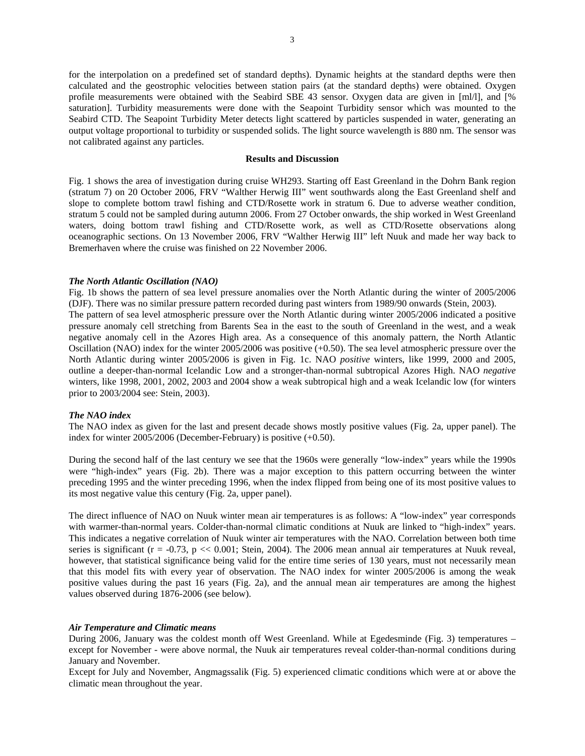for the interpolation on a predefined set of standard depths). Dynamic heights at the standard depths were then calculated and the geostrophic velocities between station pairs (at the standard depths) were obtained. Oxygen profile measurements were obtained with the Seabird SBE 43 sensor. Oxygen data are given in [ml/l], and [% saturation]. Turbidity measurements were done with the Seapoint Turbidity sensor which was mounted to the Seabird CTD. The Seapoint Turbidity Meter detects light scattered by particles suspended in water, generating an output voltage proportional to turbidity or suspended solids. The light source wavelength is 880 nm. The sensor was not calibrated against any particles.

### **Results and Discussion**

Fig. 1 shows the area of investigation during cruise WH293. Starting off East Greenland in the Dohrn Bank region (stratum 7) on 20 October 2006, FRV "Walther Herwig III" went southwards along the East Greenland shelf and slope to complete bottom trawl fishing and CTD/Rosette work in stratum 6. Due to adverse weather condition, stratum 5 could not be sampled during autumn 2006. From 27 October onwards, the ship worked in West Greenland waters, doing bottom trawl fishing and CTD/Rosette work, as well as CTD/Rosette observations along oceanographic sections. On 13 November 2006, FRV "Walther Herwig III" left Nuuk and made her way back to Bremerhaven where the cruise was finished on 22 November 2006.

#### *The North Atlantic Oscillation (NAO)*

Fig. 1b shows the pattern of sea level pressure anomalies over the North Atlantic during the winter of 2005/2006 (DJF). There was no similar pressure pattern recorded during past winters from 1989/90 onwards (Stein, 2003). The pattern of sea level atmospheric pressure over the North Atlantic during winter 2005/2006 indicated a positive pressure anomaly cell stretching from Barents Sea in the east to the south of Greenland in the west, and a weak negative anomaly cell in the Azores High area. As a consequence of this anomaly pattern, the North Atlantic Oscillation (NAO) index for the winter 2005/2006 was positive (+0.50). The sea level atmospheric pressure over the North Atlantic during winter 2005/2006 is given in Fig. 1c. NAO *positive* winters, like 1999, 2000 and 2005, outline a deeper-than-normal Icelandic Low and a stronger-than-normal subtropical Azores High. NAO *negative* winters, like 1998, 2001, 2002, 2003 and 2004 show a weak subtropical high and a weak Icelandic low (for winters prior to 2003/2004 see: Stein, 2003).

### *The NAO index*

The NAO index as given for the last and present decade shows mostly positive values (Fig. 2a, upper panel). The index for winter 2005/2006 (December-February) is positive (+0.50).

During the second half of the last century we see that the 1960s were generally "low-index" years while the 1990s were "high-index" years (Fig. 2b). There was a major exception to this pattern occurring between the winter preceding 1995 and the winter preceding 1996, when the index flipped from being one of its most positive values to its most negative value this century (Fig. 2a, upper panel).

The direct influence of NAO on Nuuk winter mean air temperatures is as follows: A "low-index" year corresponds with warmer-than-normal years. Colder-than-normal climatic conditions at Nuuk are linked to "high-index" years. This indicates a negative correlation of Nuuk winter air temperatures with the NAO. Correlation between both time series is significant ( $r = -0.73$ ,  $p \ll 0.001$ ; Stein, 2004). The 2006 mean annual air temperatures at Nuuk reveal, however, that statistical significance being valid for the entire time series of 130 years, must not necessarily mean that this model fits with every year of observation. The NAO index for winter 2005/2006 is among the weak positive values during the past 16 years (Fig. 2a), and the annual mean air temperatures are among the highest values observed during 1876-2006 (see below).

#### *Air Temperature and Climatic means*

During 2006, January was the coldest month off West Greenland. While at Egedesminde (Fig. 3) temperatures – except for November - were above normal, the Nuuk air temperatures reveal colder-than-normal conditions during January and November.

Except for July and November, Angmagssalik (Fig. 5) experienced climatic conditions which were at or above the climatic mean throughout the year.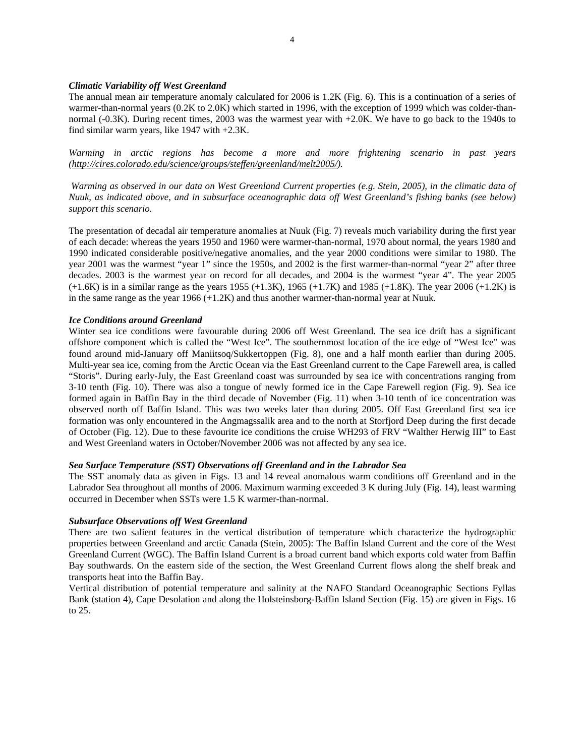## *Climatic Variability off West Greenland*

The annual mean air temperature anomaly calculated for 2006 is 1.2K (Fig. 6). This is a continuation of a series of warmer-than-normal years (0.2K to 2.0K) which started in 1996, with the exception of 1999 which was colder-thannormal (-0.3K). During recent times, 2003 was the warmest year with +2.0K. We have to go back to the 1940s to find similar warm years, like 1947 with +2.3K.

*Warming in arctic regions has become a more and more frightening scenario in past years (http://cires.colorado.edu/science/groups/steffen/greenland/melt2005/).* 

 *Warming as observed in our data on West Greenland Current properties (e.g. Stein, 2005), in the climatic data of Nuuk, as indicated above, and in subsurface oceanographic data off West Greenland's fishing banks (see below) support this scenario.* 

The presentation of decadal air temperature anomalies at Nuuk (Fig. 7) reveals much variability during the first year of each decade: whereas the years 1950 and 1960 were warmer-than-normal, 1970 about normal, the years 1980 and 1990 indicated considerable positive/negative anomalies, and the year 2000 conditions were similar to 1980. The year 2001 was the warmest "year 1" since the 1950s, and 2002 is the first warmer-than-normal "year 2" after three decades. 2003 is the warmest year on record for all decades, and 2004 is the warmest "year 4". The year 2005  $(+1.6K)$  is in a similar range as the years 1955  $(+1.3K)$ , 1965  $(+1.7K)$  and 1985  $(+1.8K)$ . The year 2006  $(+1.2K)$  is in the same range as the year  $1966 (+1.2K)$  and thus another warmer-than-normal year at Nuuk.

# *Ice Conditions around Greenland*

Winter sea ice conditions were favourable during 2006 off West Greenland. The sea ice drift has a significant offshore component which is called the "West Ice". The southernmost location of the ice edge of "West Ice" was found around mid-January off Maniitsoq/Sukkertoppen (Fig. 8), one and a half month earlier than during 2005. Multi-year sea ice, coming from the Arctic Ocean via the East Greenland current to the Cape Farewell area, is called "Storis". During early-July, the East Greenland coast was surrounded by sea ice with concentrations ranging from 3-10 tenth (Fig. 10). There was also a tongue of newly formed ice in the Cape Farewell region (Fig. 9). Sea ice formed again in Baffin Bay in the third decade of November (Fig. 11) when 3-10 tenth of ice concentration was observed north off Baffin Island. This was two weeks later than during 2005. Off East Greenland first sea ice formation was only encountered in the Angmagssalik area and to the north at Storfjord Deep during the first decade of October (Fig. 12). Due to these favourite ice conditions the cruise WH293 of FRV "Walther Herwig III" to East and West Greenland waters in October/November 2006 was not affected by any sea ice.

# *Sea Surface Temperature (SST) Observations off Greenland and in the Labrador Sea*

The SST anomaly data as given in Figs. 13 and 14 reveal anomalous warm conditions off Greenland and in the Labrador Sea throughout all months of 2006. Maximum warming exceeded 3 K during July (Fig. 14), least warming occurred in December when SSTs were 1.5 K warmer-than-normal.

### *Subsurface Observations off West Greenland*

There are two salient features in the vertical distribution of temperature which characterize the hydrographic properties between Greenland and arctic Canada (Stein, 2005): The Baffin Island Current and the core of the West Greenland Current (WGC). The Baffin Island Current is a broad current band which exports cold water from Baffin Bay southwards. On the eastern side of the section, the West Greenland Current flows along the shelf break and transports heat into the Baffin Bay.

Vertical distribution of potential temperature and salinity at the NAFO Standard Oceanographic Sections Fyllas Bank (station 4), Cape Desolation and along the Holsteinsborg-Baffin Island Section (Fig. 15) are given in Figs. 16 to 25.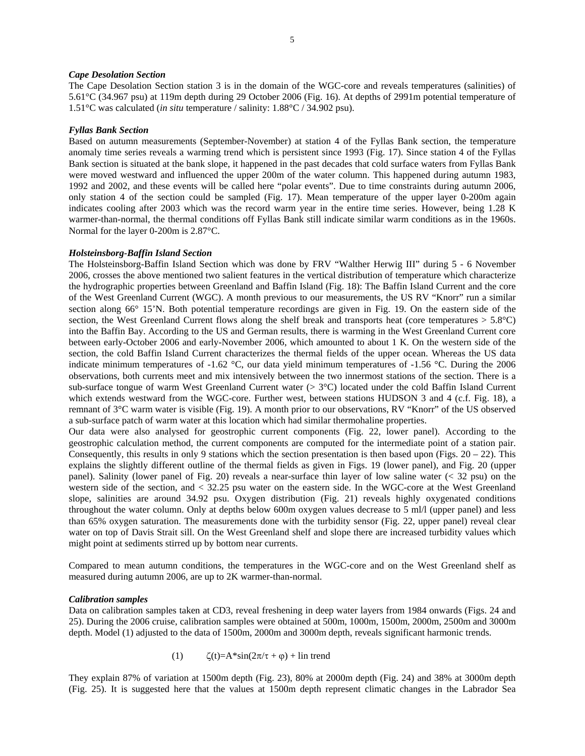### *Cape Desolation Section*

The Cape Desolation Section station 3 is in the domain of the WGC-core and reveals temperatures (salinities) of 5.61°C (34.967 psu) at 119m depth during 29 October 2006 (Fig. 16). At depths of 2991m potential temperature of 1.51°C was calculated (*in situ* temperature / salinity: 1.88°C / 34.902 psu).

#### *Fyllas Bank Section*

Based on autumn measurements (September-November) at station 4 of the Fyllas Bank section, the temperature anomaly time series reveals a warming trend which is persistent since 1993 (Fig. 17). Since station 4 of the Fyllas Bank section is situated at the bank slope, it happened in the past decades that cold surface waters from Fyllas Bank were moved westward and influenced the upper 200m of the water column. This happened during autumn 1983, 1992 and 2002, and these events will be called here "polar events". Due to time constraints during autumn 2006, only station 4 of the section could be sampled (Fig. 17). Mean temperature of the upper layer 0-200m again indicates cooling after 2003 which was the record warm year in the entire time series. However, being 1.28 K warmer-than-normal, the thermal conditions off Fyllas Bank still indicate similar warm conditions as in the 1960s. Normal for the layer 0-200m is 2.87°C.

### *Holsteinsborg-Baffin Island Section*

The Holsteinsborg-Baffin Island Section which was done by FRV "Walther Herwig III" during 5 - 6 November 2006, crosses the above mentioned two salient features in the vertical distribution of temperature which characterize the hydrographic properties between Greenland and Baffin Island (Fig. 18): The Baffin Island Current and the core of the West Greenland Current (WGC). A month previous to our measurements, the US RV "Knorr" run a similar section along 66° 15'N. Both potential temperature recordings are given in Fig. 19. On the eastern side of the section, the West Greenland Current flows along the shelf break and transports heat (core temperatures  $> 5.8^{\circ}$ C) into the Baffin Bay. According to the US and German results, there is warming in the West Greenland Current core between early-October 2006 and early-November 2006, which amounted to about 1 K. On the western side of the section, the cold Baffin Island Current characterizes the thermal fields of the upper ocean. Whereas the US data indicate minimum temperatures of -1.62 °C, our data yield minimum temperatures of -1.56 °C. During the 2006 observations, both currents meet and mix intensively between the two innermost stations of the section. There is a sub-surface tongue of warm West Greenland Current water (> 3°C) located under the cold Baffin Island Current which extends westward from the WGC-core. Further west, between stations HUDSON 3 and 4 (c.f. Fig. 18), a remnant of 3°C warm water is visible (Fig. 19). A month prior to our observations, RV "Knorr" of the US observed a sub-surface patch of warm water at this location which had similar thermohaline properties.

Our data were also analysed for geostrophic current components (Fig. 22, lower panel). According to the geostrophic calculation method, the current components are computed for the intermediate point of a station pair. Consequently, this results in only 9 stations which the section presentation is then based upon (Figs.  $20 - 22$ ). This explains the slightly different outline of the thermal fields as given in Figs. 19 (lower panel), and Fig. 20 (upper panel). Salinity (lower panel of Fig. 20) reveals a near-surface thin layer of low saline water (< 32 psu) on the western side of the section, and < 32.25 psu water on the eastern side. In the WGC-core at the West Greenland slope, salinities are around 34.92 psu. Oxygen distribution (Fig. 21) reveals highly oxygenated conditions throughout the water column. Only at depths below 600m oxygen values decrease to 5 ml/l (upper panel) and less than 65% oxygen saturation. The measurements done with the turbidity sensor (Fig. 22, upper panel) reveal clear water on top of Davis Strait sill. On the West Greenland shelf and slope there are increased turbidity values which might point at sediments stirred up by bottom near currents.

Compared to mean autumn conditions, the temperatures in the WGC-core and on the West Greenland shelf as measured during autumn 2006, are up to 2K warmer-than-normal.

### *Calibration samples*

Data on calibration samples taken at CD3, reveal freshening in deep water layers from 1984 onwards (Figs. 24 and 25). During the 2006 cruise, calibration samples were obtained at 500m, 1000m, 1500m, 2000m, 2500m and 3000m depth. Model (1) adjusted to the data of 1500m, 2000m and 3000m depth, reveals significant harmonic trends.

(1) 
$$
\zeta(t) = A^* \sin(2\pi/\tau + \varphi) + \text{lin trend}
$$

They explain 87% of variation at 1500m depth (Fig. 23), 80% at 2000m depth (Fig. 24) and 38% at 3000m depth (Fig. 25). It is suggested here that the values at 1500m depth represent climatic changes in the Labrador Sea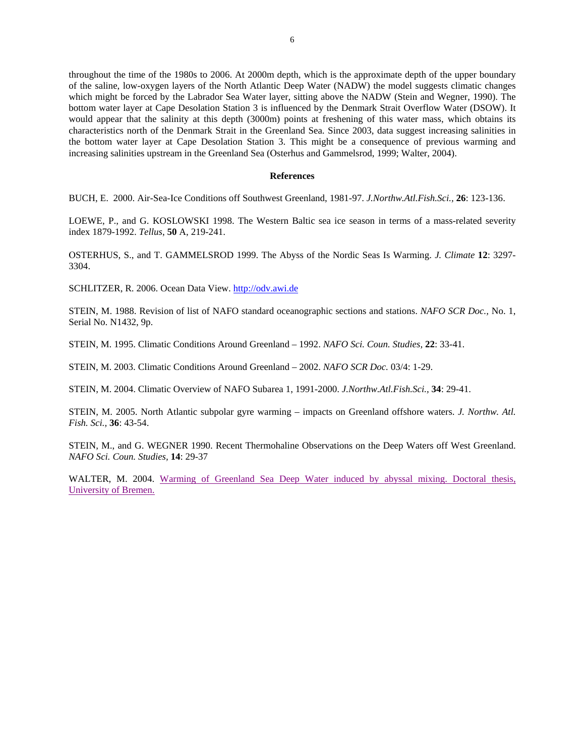throughout the time of the 1980s to 2006. At 2000m depth, which is the approximate depth of the upper boundary of the saline, low-oxygen layers of the North Atlantic Deep Water (NADW) the model suggests climatic changes which might be forced by the Labrador Sea Water layer, sitting above the NADW (Stein and Wegner, 1990). The bottom water layer at Cape Desolation Station 3 is influenced by the Denmark Strait Overflow Water (DSOW). It would appear that the salinity at this depth (3000m) points at freshening of this water mass, which obtains its characteristics north of the Denmark Strait in the Greenland Sea. Since 2003, data suggest increasing salinities in the bottom water layer at Cape Desolation Station 3. This might be a consequence of previous warming and increasing salinities upstream in the Greenland Sea (Οsterhus and Gammelsrod, 1999; Walter, 2004).

### **References**

BUCH, E. 2000. Air-Sea-Ice Conditions off Southwest Greenland, 1981-97. *J.Northw.Atl.Fish.Sci.,* **26**: 123-136.

LOEWE, P., and G. KOSLOWSKI 1998. The Western Baltic sea ice season in terms of a mass-related severity index 1879-1992. *Tellus*, **50** A, 219-241.

ΟSTERHUS, S., and T. GAMMELSROD 1999. The Abyss of the Nordic Seas Is Warming. *J. Climate* **12**: 3297- 3304.

SCHLITZER, R. 2006. Ocean Data View. http://odv.awi.de

STEIN, M. 1988. Revision of list of NAFO standard oceanographic sections and stations. *NAFO SCR Doc.,* No. 1, Serial No. N1432, 9p.

STEIN, M. 1995. Climatic Conditions Around Greenland – 1992. *NAFO Sci. Coun. Studies,* **22**: 33-41.

STEIN, M. 2003. Climatic Conditions Around Greenland – 2002. *NAFO SCR Doc.* 03/4: 1-29.

STEIN, M. 2004. Climatic Overview of NAFO Subarea 1, 1991-2000. *J.Northw.Atl.Fish.Sci.,* **34**: 29-41.

STEIN, M. 2005. North Atlantic subpolar gyre warming – impacts on Greenland offshore waters. *J. Northw. Atl. Fish. Sci.,* **36**: 43-54.

STEIN, M., and G. WEGNER 1990. Recent Thermohaline Observations on the Deep Waters off West Greenland. *NAFO Sci. Coun. Studies,* **14**: 29-37

WALTER, M. 2004. Warming of Greenland Sea Deep Water induced by abyssal mixing. Doctoral thesis, University of Bremen.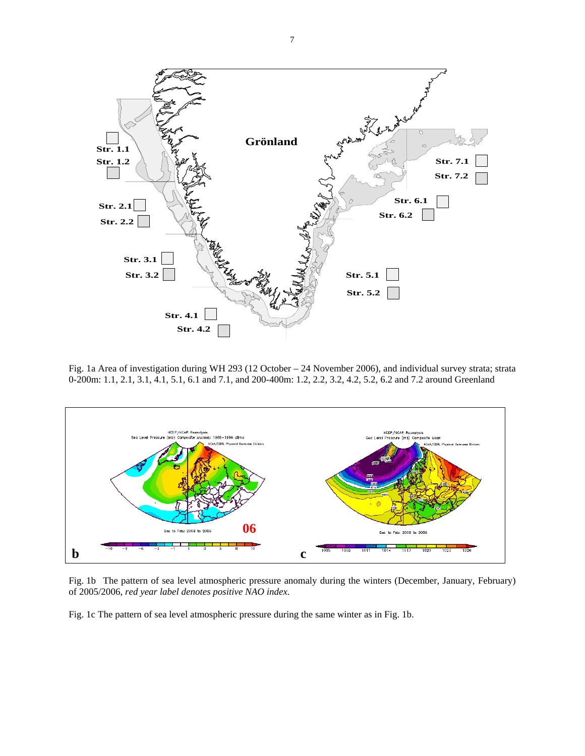

Fig. 1a Area of investigation during WH 293 (12 October – 24 November 2006), and individual survey strata; strata 0-200m: 1.1, 2.1, 3.1, 4.1, 5.1, 6.1 and 7.1, and 200-400m: 1.2, 2.2, 3.2, 4.2, 5.2, 6.2 and 7.2 around Greenland



Fig. 1b The pattern of sea level atmospheric pressure anomaly during the winters (December, January, February) of 2005/2006, *red year label denotes positive NAO index.* 

Fig. 1c The pattern of sea level atmospheric pressure during the same winter as in Fig. 1b.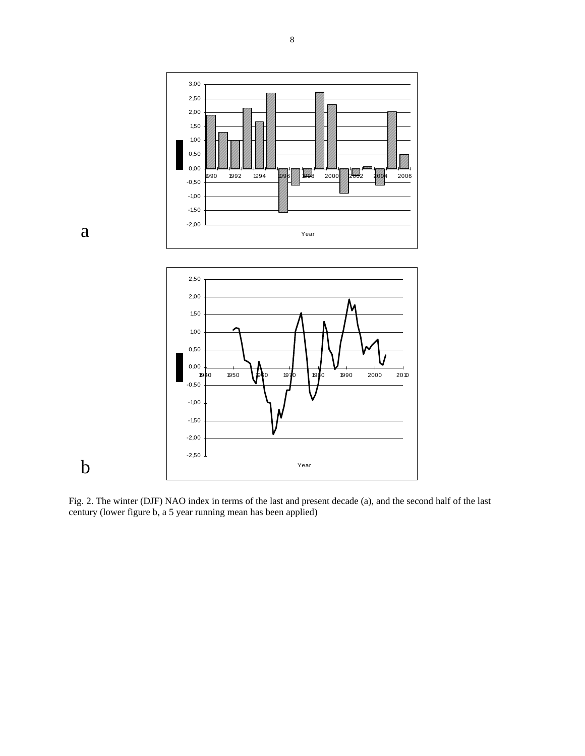



b

8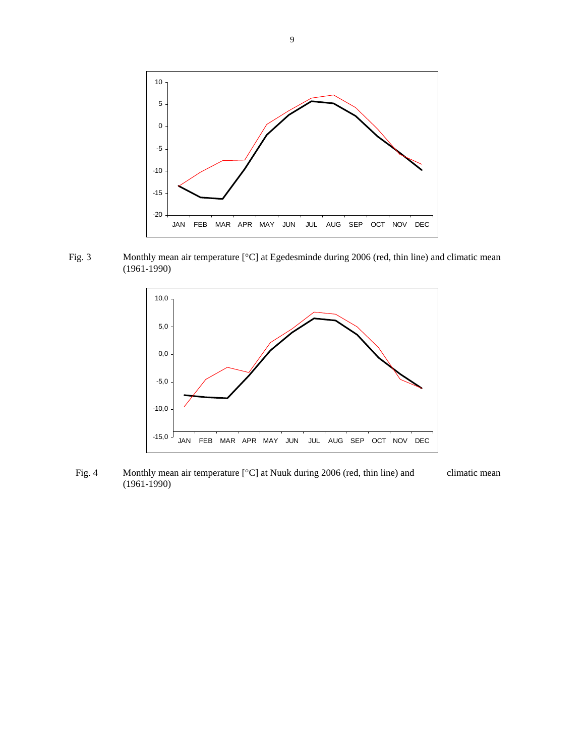

Fig. 3 Monthly mean air temperature [°C] at Egedesminde during 2006 (red, thin line) and climatic mean (1961-1990)



Fig. 4 Monthly mean air temperature [°C] at Nuuk during 2006 (red, thin line) and climatic mean (1961-1990)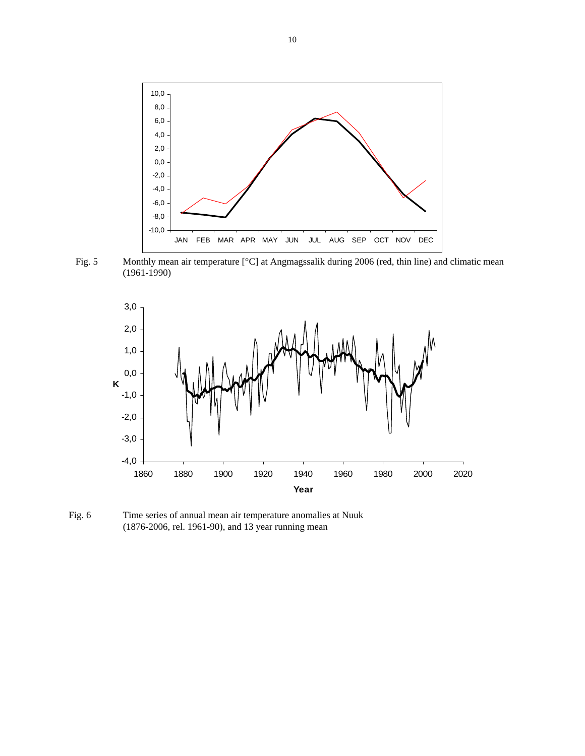

Fig. 5 Monthly mean air temperature [°C] at Angmagssalik during 2006 (red, thin line) and climatic mean (1961-1990)



Fig. 6 Time series of annual mean air temperature anomalies at Nuuk (1876-2006, rel. 1961-90), and 13 year running mean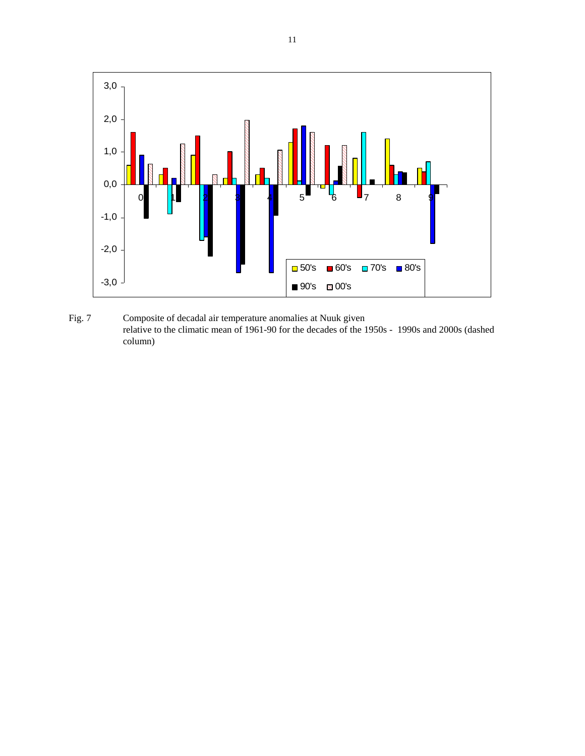

Fig. 7 Composite of decadal air temperature anomalies at Nuuk given relative to the climatic mean of 1961-90 for the decades of the 1950s - 1990s and 2000s (dashed column)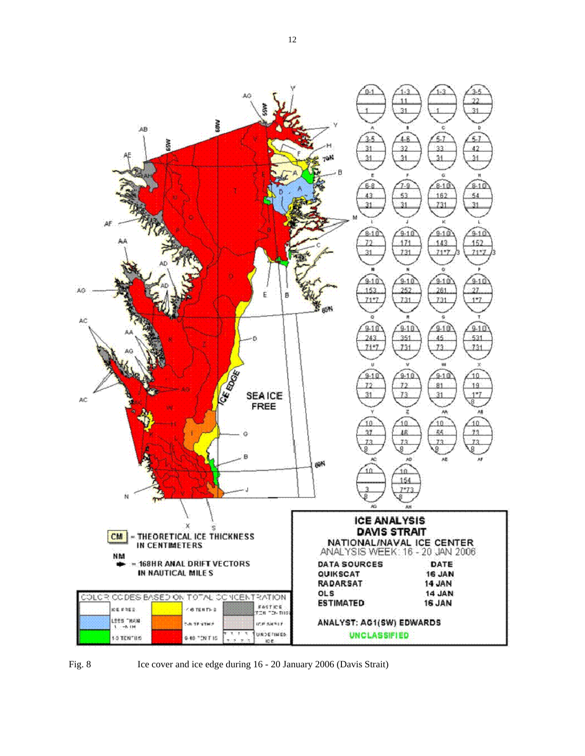



Fig. 8 Ice cover and ice edge during 16 - 20 January 2006 (Davis Strait)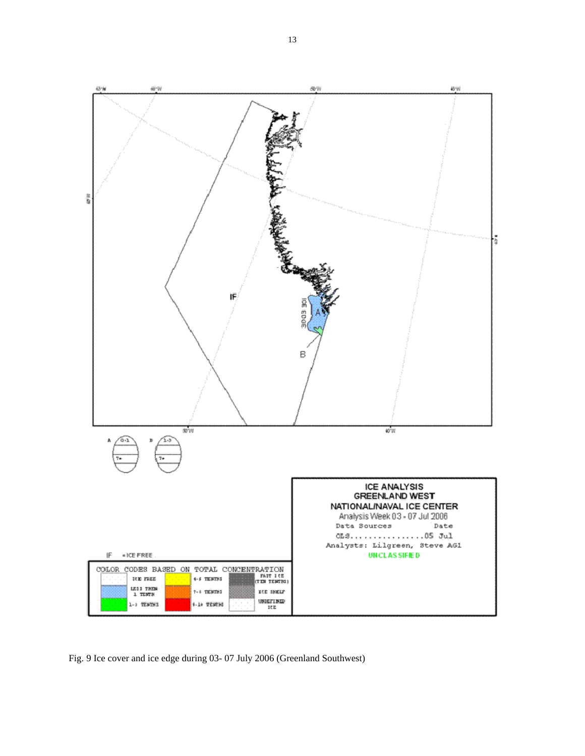

Fig. 9 Ice cover and ice edge during 03- 07 July 2006 (Greenland Southwest)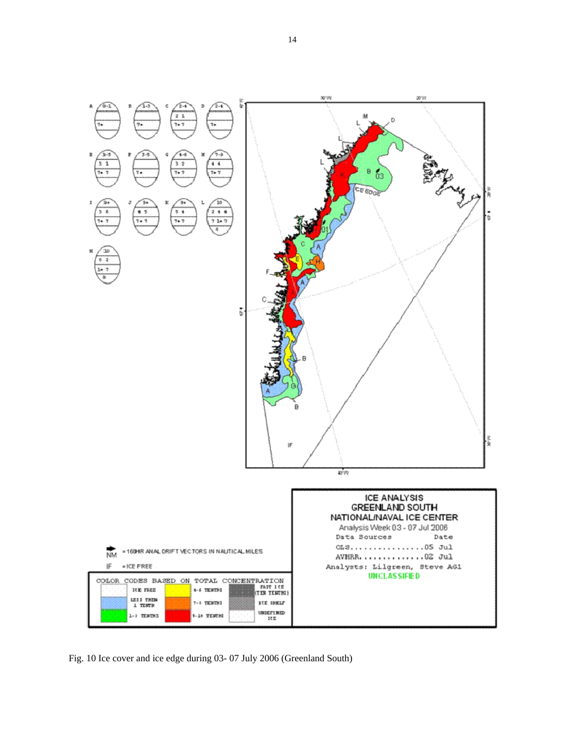

Fig. 10 Ice cover and ice edge during 03- 07 July 2006 (Greenland South)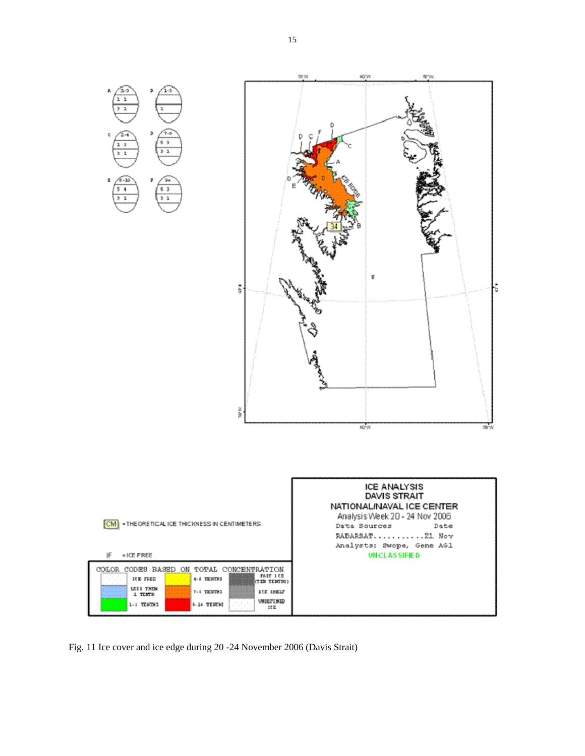

Fig. 11 Ice cover and ice edge during 20 -24 November 2006 (Davis Strait)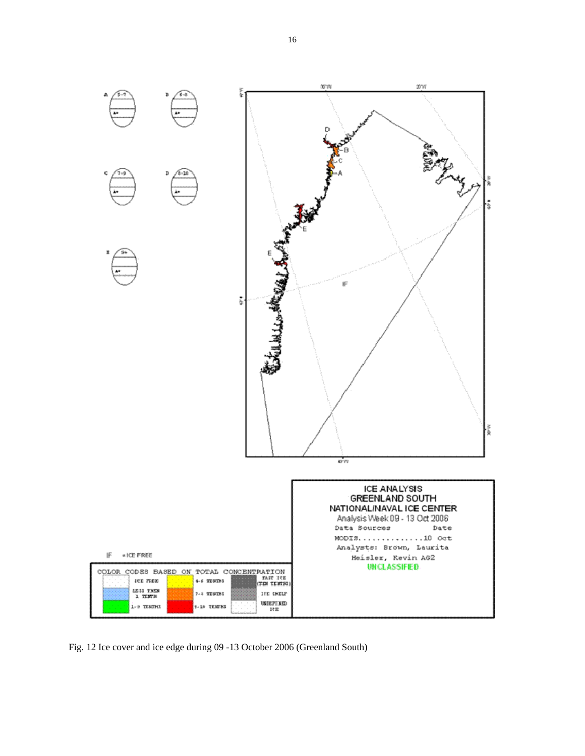

Fig. 12 Ice cover and ice edge during 09 -13 October 2006 (Greenland South)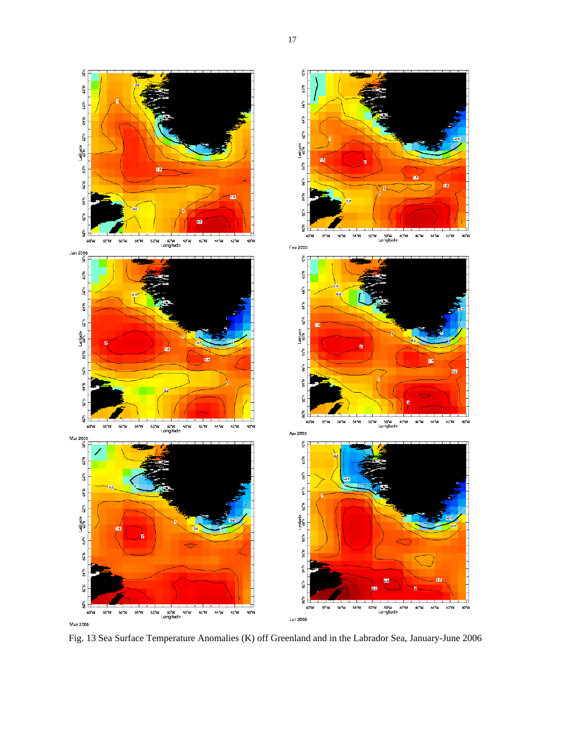

Fig. 13 Sea Surface Temperature Anomalies (K) off Greenland and in the Labrador Sea, January-June 2006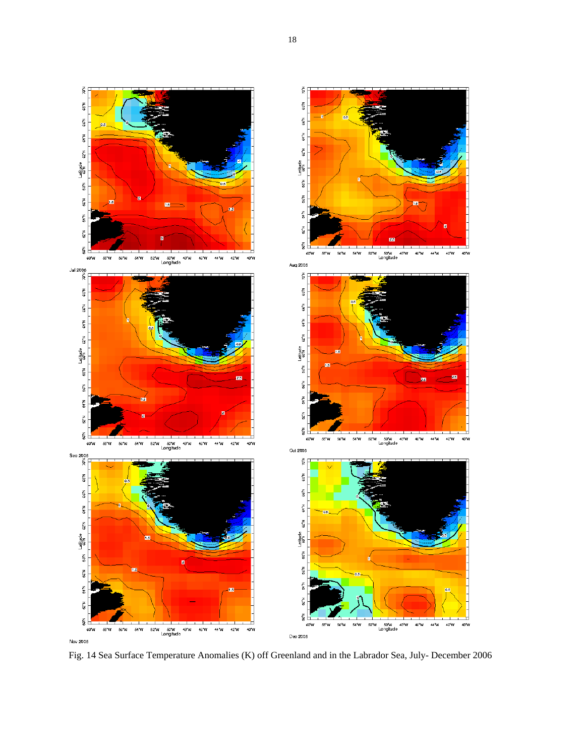

Fig. 14 Sea Surface Temperature Anomalies (K) off Greenland and in the Labrador Sea, July- December 2006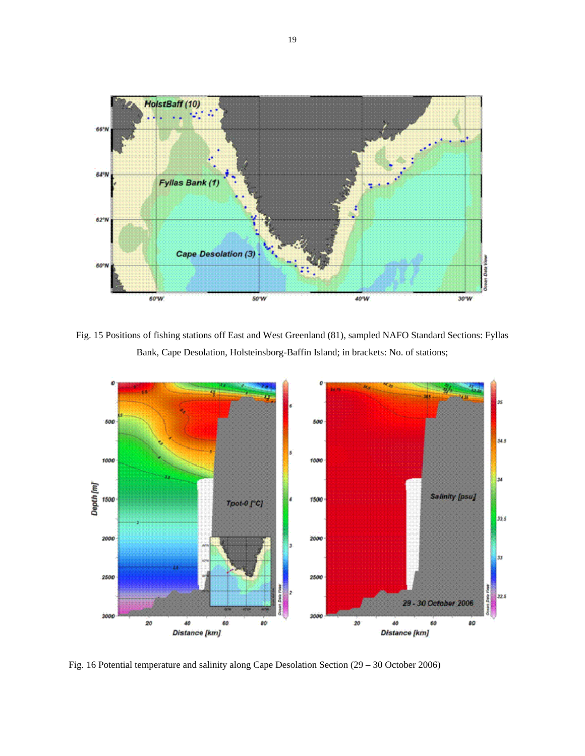

Fig. 15 Positions of fishing stations off East and West Greenland (81), sampled NAFO Standard Sections: Fyllas Bank, Cape Desolation, Holsteinsborg-Baffin Island; in brackets: No. of stations;



Fig. 16 Potential temperature and salinity along Cape Desolation Section (29 – 30 October 2006)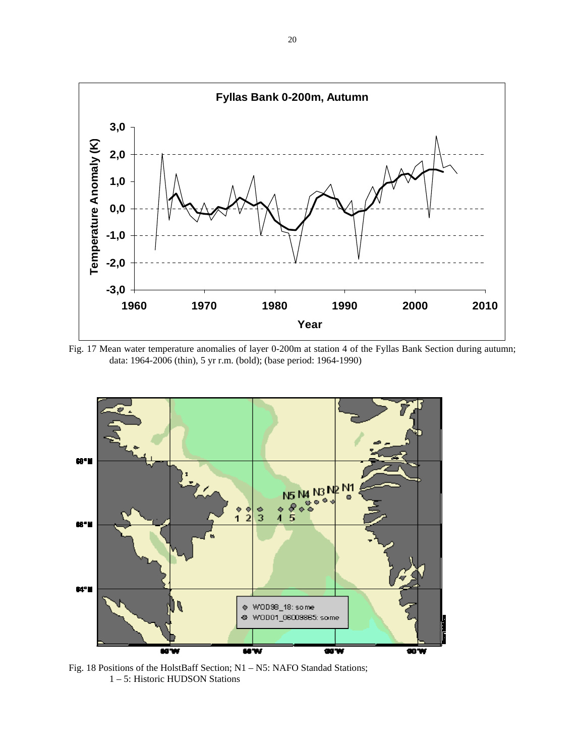

Fig. 17 Mean water temperature anomalies of layer 0-200m at station 4 of the Fyllas Bank Section during autumn; data: 1964-2006 (thin), 5 yr r.m. (bold); (base period: 1964-1990)



Fig. 18 Positions of the HolstBaff Section; N1 – N5: NAFO Standad Stations; 1 – 5: Historic HUDSON Stations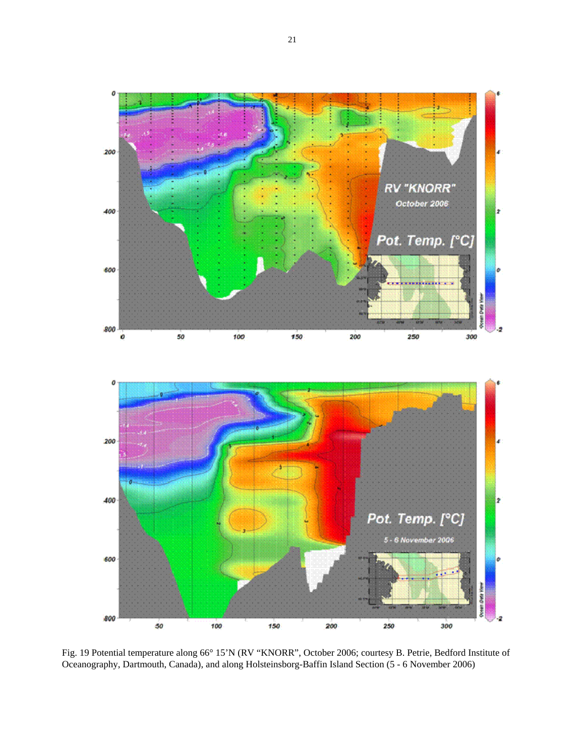

Fig. 19 Potential temperature along 66° 15'N (RV "KNORR", October 2006; courtesy B. Petrie, Bedford Institute of Oceanography, Dartmouth, Canada), and along Holsteinsborg-Baffin Island Section (5 - 6 November 2006)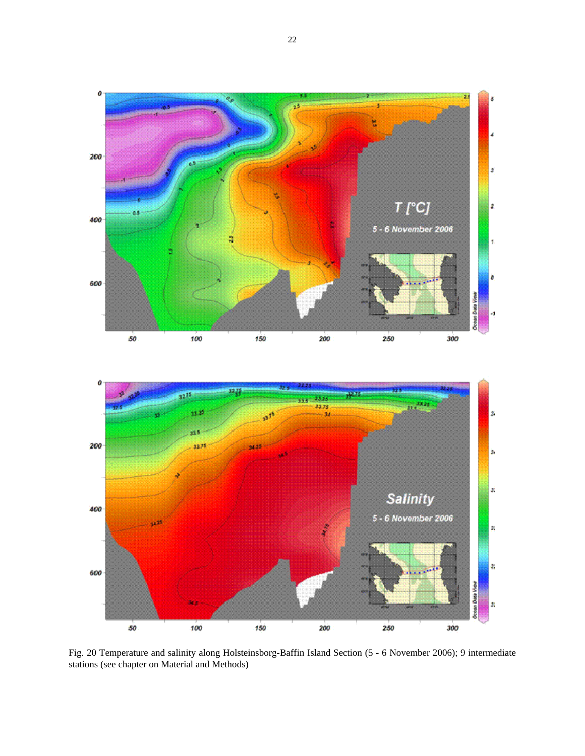



Fig. 20 Temperature and salinity along Holsteinsborg-Baffin Island Section (5 - 6 November 2006); 9 intermediate stations (see chapter on Material and Methods)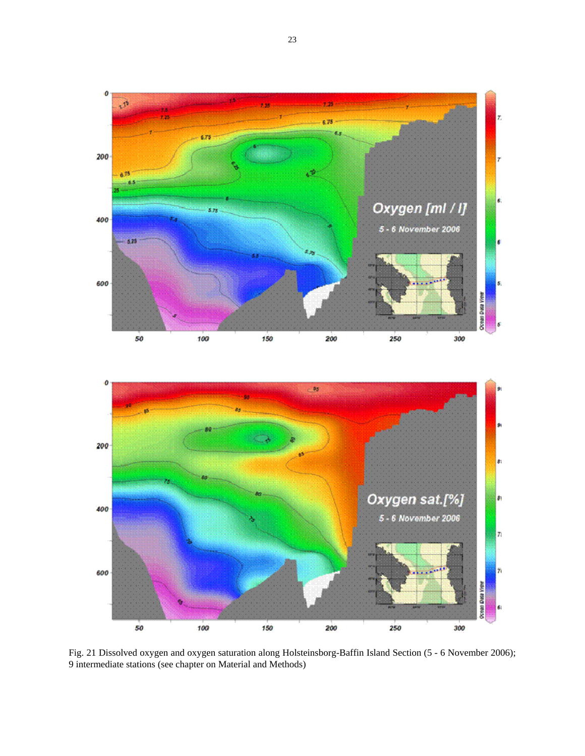



Fig. 21 Dissolved oxygen and oxygen saturation along Holsteinsborg-Baffin Island Section (5 - 6 November 2006); 9 intermediate stations (see chapter on Material and Methods)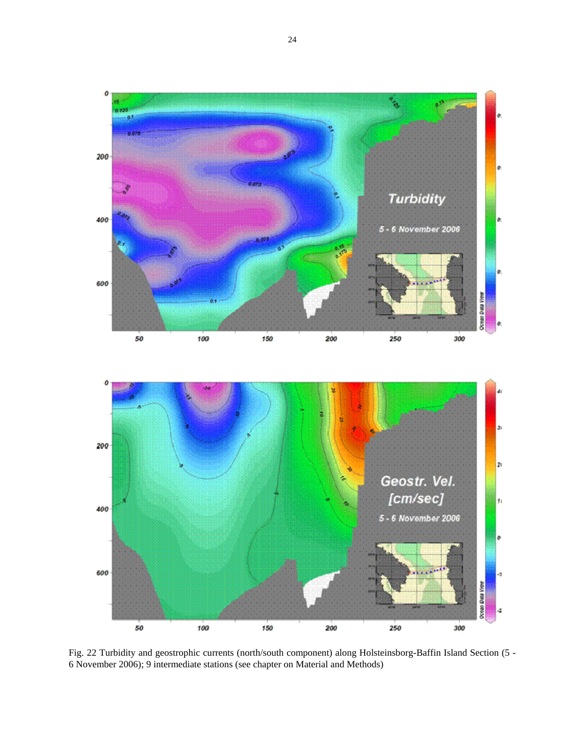

Fig. 22 Turbidity and geostrophic currents (north/south component) along Holsteinsborg-Baffin Island Section (5 - 6 November 2006); 9 intermediate stations (see chapter on Material and Methods)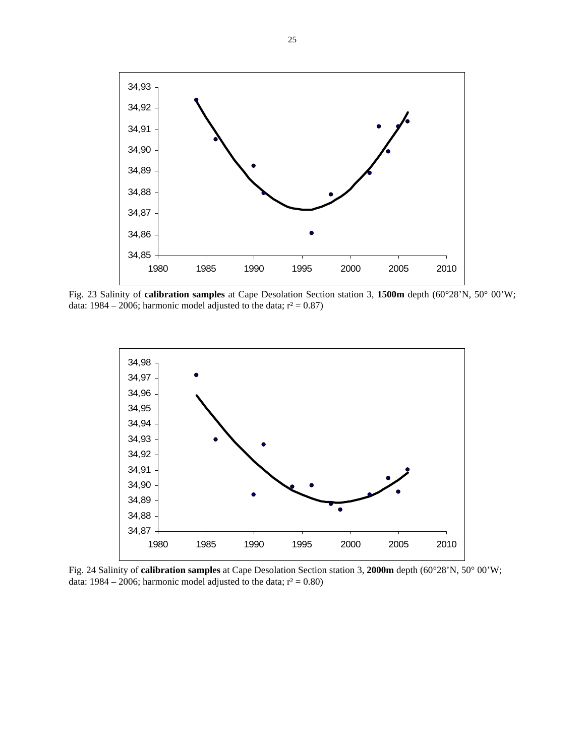

Fig. 23 Salinity of **calibration samples** at Cape Desolation Section station 3, **1500m** depth (60°28'N, 50° 00'W; data: 1984 – 2006; harmonic model adjusted to the data;  $r^2 = 0.87$ )



Fig. 24 Salinity of **calibration samples** at Cape Desolation Section station 3, **2000m** depth (60°28'N, 50° 00'W; data: 1984 – 2006; harmonic model adjusted to the data;  $r^2 = 0.80$ )